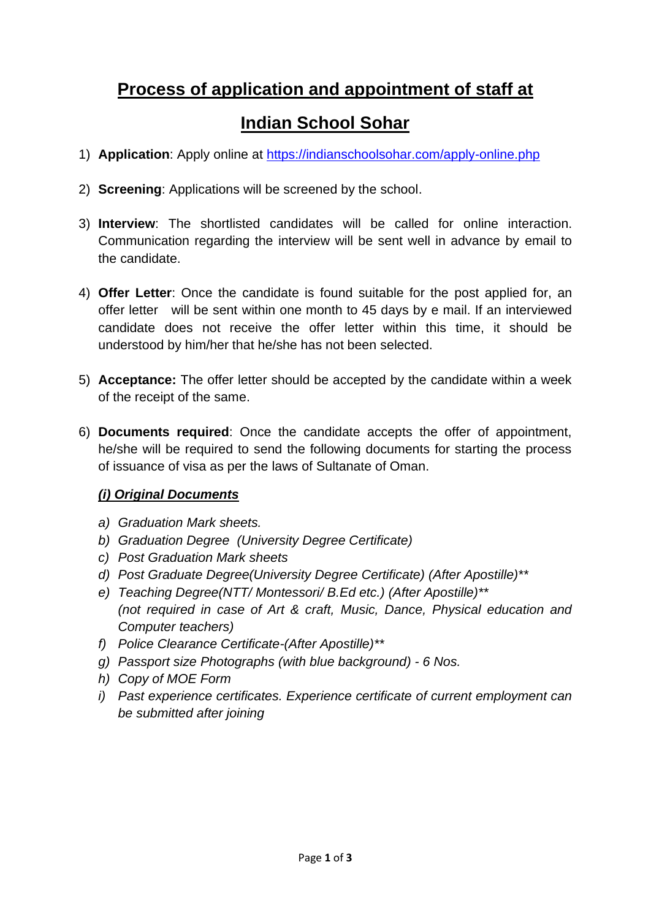# **Process of application and appointment of staff at**

# **Indian School Sohar**

- 1) **Application**: Apply online at<https://indianschoolsohar.com/apply-online.php>
- 2) **Screening**: Applications will be screened by the school.
- 3) **Interview**: The shortlisted candidates will be called for online interaction. Communication regarding the interview will be sent well in advance by email to the candidate.
- 4) **Offer Letter**: Once the candidate is found suitable for the post applied for, an offer letter will be sent within one month to 45 days by e mail. If an interviewed candidate does not receive the offer letter within this time, it should be understood by him/her that he/she has not been selected.
- 5) **Acceptance:** The offer letter should be accepted by the candidate within a week of the receipt of the same.
- 6) **Documents required**: Once the candidate accepts the offer of appointment, he/she will be required to send the following documents for starting the process of issuance of visa as per the laws of Sultanate of Oman.

#### *(i) Original Documents*

- *a) Graduation Mark sheets.*
- *b) Graduation Degree (University Degree Certificate)*
- *c) Post Graduation Mark sheets*
- *d) Post Graduate Degree(University Degree Certificate) (After Apostille)\*\**
- *e) Teaching Degree(NTT/ Montessori/ B.Ed etc.) (After Apostille)\*\* (not required in case of Art & craft, Music, Dance, Physical education and Computer teachers)*
- *f) Police Clearance Certificate-(After Apostille)\*\**
- *g) Passport size Photographs (with blue background) - 6 Nos.*
- *h) Copy of MOE Form*
- *i) Past experience certificates. Experience certificate of current employment can be submitted after joining*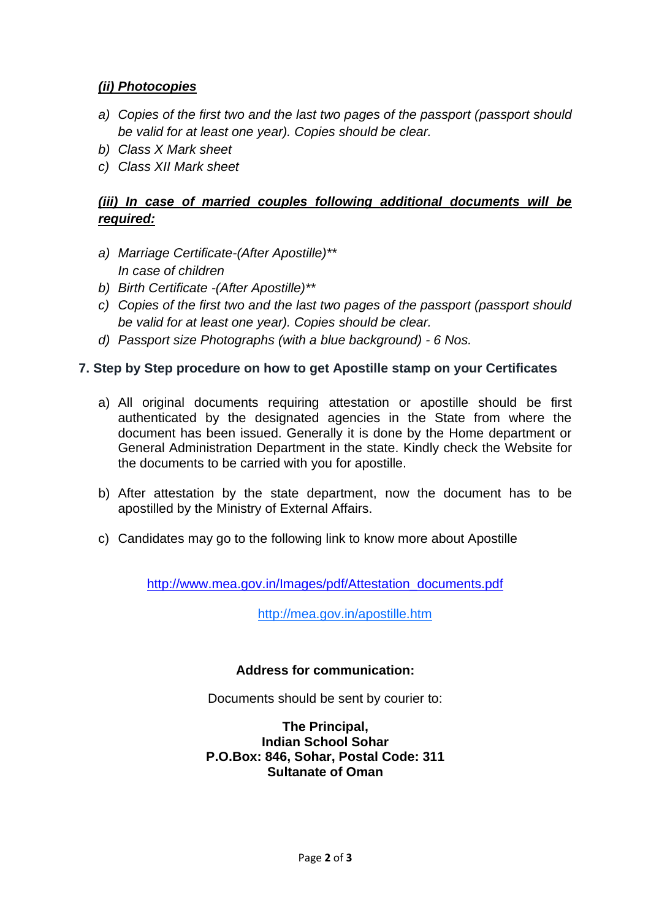#### *(ii) Photocopies*

- *a) Copies of the first two and the last two pages of the passport (passport should be valid for at least one year). Copies should be clear.*
- *b) Class X Mark sheet*
- *c) Class XII Mark sheet*

### *(iii) In case of married couples following additional documents will be required:*

- *a) Marriage Certificate-(After Apostille)\*\* In case of children*
- *b) Birth Certificate -(After Apostille)\*\**
- *c) Copies of the first two and the last two pages of the passport (passport should be valid for at least one year). Copies should be clear.*
- *d) Passport size Photographs (with a blue background) - 6 Nos.*

### **7. Step by Step procedure on how to get Apostille stamp on your Certificates**

- a) All original documents requiring attestation or apostille should be first authenticated by the designated agencies in the State from where the document has been issued. Generally it is done by the Home department or General Administration Department in the state. Kindly check the Website for the documents to be carried with you for apostille.
- b) After attestation by the state department, now the document has to be apostilled by the Ministry of External Affairs.
- c) Candidates may go to the following link to know more about Apostille

[http://www.mea.gov.in/Images/pdf/Attestation\\_documents.pdf](http://www.mea.gov.in/Images/pdf/Attestation_documents.pdf)

[http://mea.gov.in/apostille.htm](https://www.rediffmail.com/cgi-bin/red.cgi?red=http%3A%2F%2Fmea%2Egov%2Ein%2Fapostille%2Ehtm&isImage=0&BlockImage=0&rediffng=0&rogue=e8930507623968d41cacb7267bf8e1f26edfe078&els=02d562cfcdad8018e41a46a22c220174)

#### **Address for communication:**

Documents should be sent by courier to:

**The Principal, Indian School Sohar P.O.Box: 846, Sohar, Postal Code: 311 Sultanate of Oman**